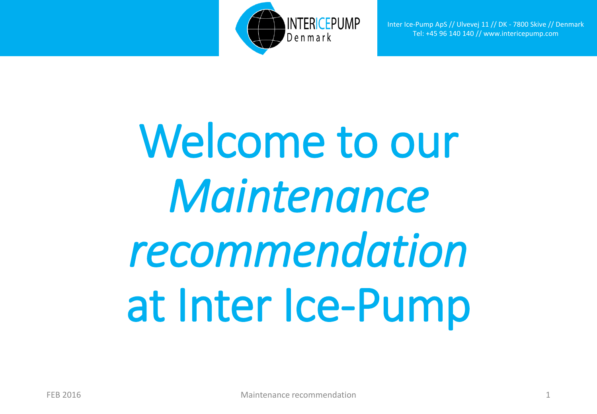

Inter Ice-Pump ApS // Ulvevej 11 // DK - 7800 Skive // Denmark Tel: +45 96 140 140 // www.intericepump.com

## Welcome to our *Maintenance recommendation*  at Inter Ice-Pump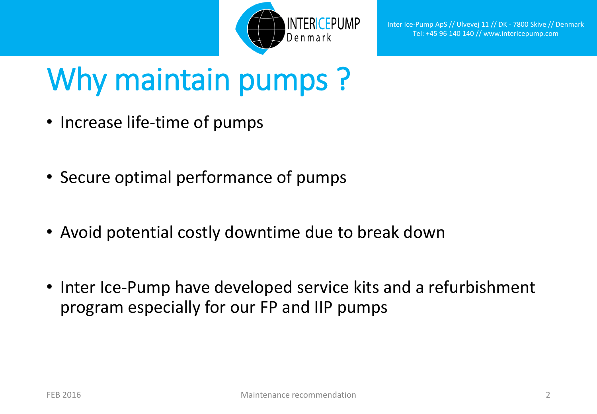

## Why maintain pumps?

- Increase life-time of pumps
- Secure optimal performance of pumps
- Avoid potential costly downtime due to break down
- Inter Ice-Pump have developed service kits and a refurbishment program especially for our FP and IIP pumps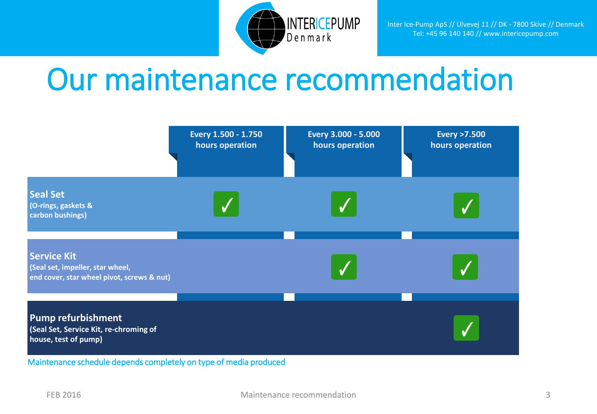

## Our maintenance recommendation

|                                                                                                      | Every 1.500 - 1.750<br>hours operation | Every 3.000 - 5.000<br>hours operation | <b>Every &gt;7.500</b><br>hours operation |
|------------------------------------------------------------------------------------------------------|----------------------------------------|----------------------------------------|-------------------------------------------|
| <b>Seal Set</b><br>(O-rings, gaskets &<br>carbon bushings)                                           |                                        |                                        |                                           |
| <b>Service Kit</b><br>(Seal set, impeller, star wheel,<br>end cover, star wheel pivot, screws & nut) |                                        |                                        |                                           |
| <b>Pump refurbishment</b><br>(Seal Set, Service Kit, re-chroming of<br>house, test of pump)          |                                        |                                        |                                           |

Maintenance schedule depends completely on type of media produced